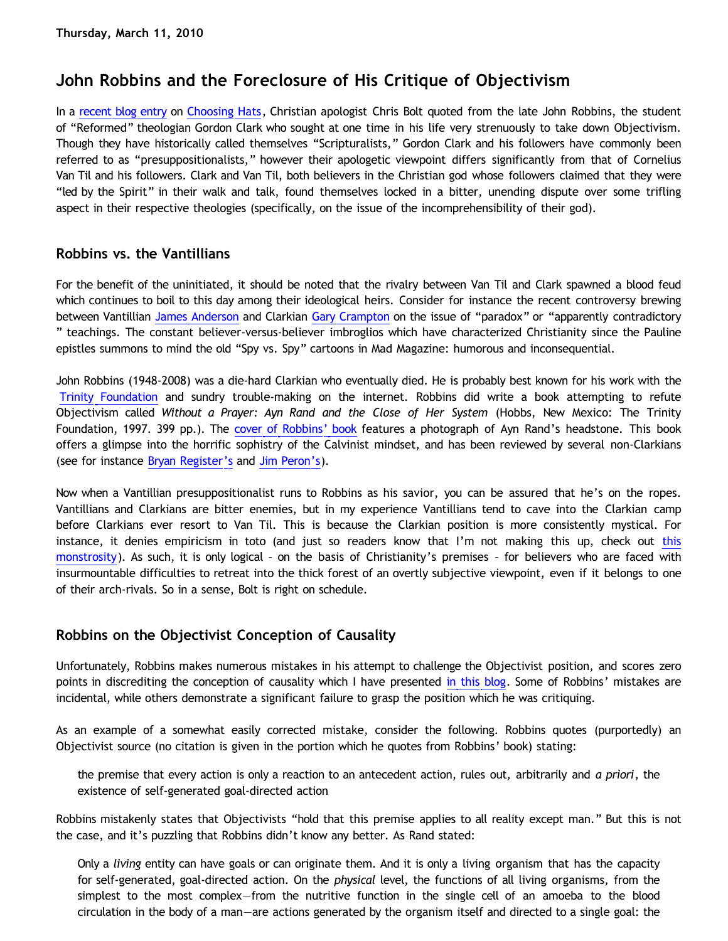# **John Robbins and the Foreclosure of His Critique of Objectivism**

In a [recent blog entry](http://www.choosinghats.com/?p=990) on [Choosing Hats](http://www.choosinghats.com/), Christian apologist Chris Bolt quoted from the late John Robbins, the student of "Reformed" theologian Gordon Clark who sought at one time in his life very strenuously to take down Objectivism. Though they have historically called themselves "Scripturalists," Gordon Clark and his followers have commonly been referred to as "presuppositionalists," however their apologetic viewpoint differs significantly from that of Cornelius Van Til and his followers. Clark and Van Til, both believers in the Christian god whose followers claimed that they were "led by the Spirit" in their walk and talk, found themselves locked in a bitter, unending dispute over some trifling aspect in their respective theologies (specifically, on the issue of the incomprehensibility of their god).

### **Robbins vs. the Vantillians**

For the benefit of the uninitiated, it should be noted that the rivalry between Van Til and Clark spawned a blood feud which continues to boil to this day among their ideological heirs. Consider for instance the recent controversy brewing between Vantillian [James Anderson](http://go2.wordpress.com/?id=725X1342&site=proginosko.wordpress.com&url=http%3A%2F%2Fwww.proginosko.com%2Fdocs%2FResponseCramptonReview.pdf) and Clarkian [Gary Crampton](http://go2.wordpress.com/?id=725X1342&site=proginosko.wordpress.com&url=http%3A%2F%2Fwww.trinityfoundation.org%2FPDF%2FReview_291_Crampton_Anderson_Review.pdf) on the issue of "paradox" or "apparently contradictory " teachings. The constant believer-versus-believer imbroglios which have characterized Christianity since the Pauline epistles summons to mind the old "Spy vs. Spy" cartoons in Mad Magazine: humorous and inconsequential.

John Robbins (1948-2008) was a die-hard Clarkian who eventually died. He is probably best known for his work with the [Trinity Foundation](http://www.trinityfoundation.org/) and sundry trouble-making on the internet. Robbins did write a book attempting to refute Objectivism called *Without a Prayer: Ayn Rand and the Close of Her System* (Hobbs, New Mexico: The Trinity Foundation, 1997. 399 pp.). The [cover of Robbins' book](http://www.trinitylectures.org/popup_image.php?pID=58) features a photograph of Ayn Rand's headstone. This book offers a glimpse into the horrific sophistry of the Calvinist mindset, and has been reviewed by several non-Clarkians (see for instance [Bryan Register's](http://objectivistcenter.org/cth--71-Has_Objectivism_Been_Refuted.aspx) and [Jim Peron's](http://katholon.com/Peron-Robbins.htm)).

Now when a Vantillian presuppositionalist runs to Robbins as his savior, you can be assured that he's on the ropes. Vantillians and Clarkians are bitter enemies, but in my experience Vantillians tend to cave into the Clarkian camp before Clarkians ever resort to Van Til. This is because the Clarkian position is more consistently mystical. For instance, it denies empiricism in toto (and just so readers know that I'm not making [this](http://www.trinityfoundation.org/journal.php?id=84) up, check out this [monstrosity](http://www.trinityfoundation.org/journal.php?id=84)). As such, it is only logical – on the basis of Christianity's premises – for believers who are faced with insurmountable difficulties to retreat into the thick forest of an overtly subjective viewpoint, even if it belongs to one of their arch-rivals. So in a sense, Bolt is right on schedule.

# **Robbins on the Objectivist Conception of Causality**

Unfortunately, Robbins makes numerous mistakes in his attempt to challenge the Objectivist position, and scores zero points in discrediting the conception of causality which I have presented [in this blog](http://bahnsenburner.blogspot.com/2010/03/causality-as-necessary-relationship.html). Some of Robbins' mistakes are incidental, while others demonstrate a significant failure to grasp the position which he was critiquing.

As an example of a somewhat easily corrected mistake, consider the following. Robbins quotes (purportedly) an Objectivist source (no citation is given in the portion which he quotes from Robbins' book) stating:

the premise that every action is only a reaction to an antecedent action, rules out, arbitrarily and *a priori*, the existence of self-generated goal-directed action

Robbins mistakenly states that Objectivists "hold that this premise applies to all reality except man." But this is not the case, and it's puzzling that Robbins didn't know any better. As Rand stated:

Only a *living* entity can have goals or can originate them. And it is only a living organism that has the capacity for self-generated, goal-directed action. On the *physical* level, the functions of all living organisms, from the simplest to the most complex—from the nutritive function in the single cell of an amoeba to the blood circulation in the body of a man—are actions generated by the organism itself and directed to a single goal: the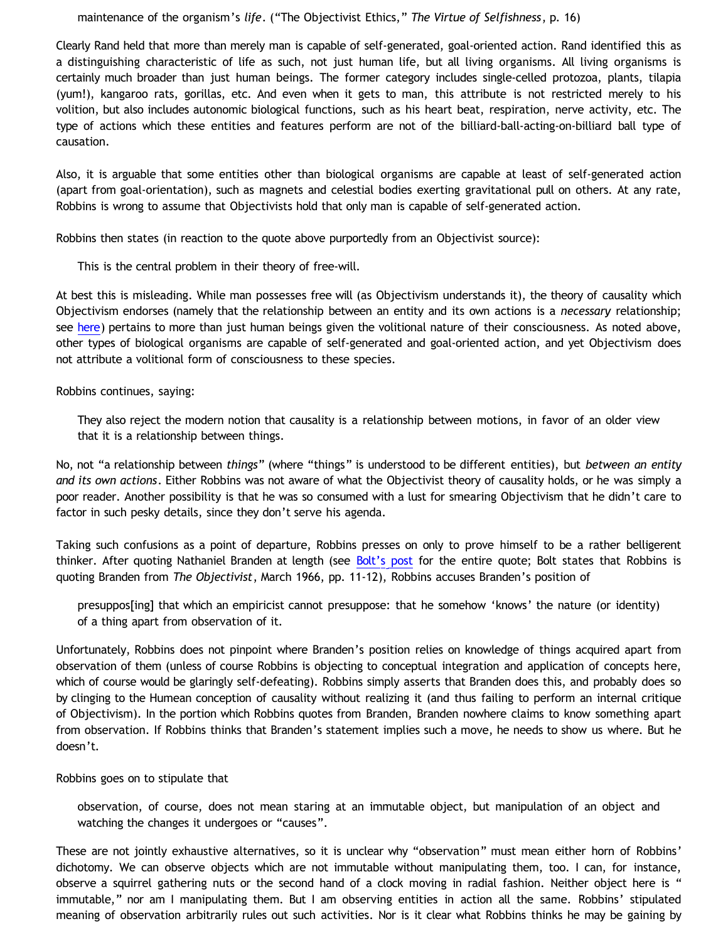maintenance of the organism's *life*. ("The Objectivist Ethics," *The Virtue of Selfishness*, p. 16)

Clearly Rand held that more than merely man is capable of self-generated, goal-oriented action. Rand identified this as a distinguishing characteristic of life as such, not just human life, but all living organisms. All living organisms is certainly much broader than just human beings. The former category includes single-celled protozoa, plants, tilapia (yum!), kangaroo rats, gorillas, etc. And even when it gets to man, this attribute is not restricted merely to his volition, but also includes autonomic biological functions, such as his heart beat, respiration, nerve activity, etc. The type of actions which these entities and features perform are not of the billiard-ball-acting-on-billiard ball type of causation.

Also, it is arguable that some entities other than biological organisms are capable at least of self-generated action (apart from goal-orientation), such as magnets and celestial bodies exerting gravitational pull on others. At any rate, Robbins is wrong to assume that Objectivists hold that only man is capable of self-generated action.

Robbins then states (in reaction to the quote above purportedly from an Objectivist source):

This is the central problem in their theory of free-will.

At best this is misleading. While man possesses free will (as Objectivism understands it), the theory of causality which Objectivism endorses (namely that the relationship between an entity and its own actions is a *necessary* relationship; see [here\)](http://bahnsenburner.blogspot.com/2010/03/causality-as-necessary-relationship.html) pertains to more than just human beings given the volitional nature of their consciousness. As noted above, other types of biological organisms are capable of self-generated and goal-oriented action, and yet Objectivism does not attribute a volitional form of consciousness to these species.

Robbins continues, saying:

They also reject the modern notion that causality is a relationship between motions, in favor of an older view that it is a relationship between things.

No, not "a relationship between *things*" (where "things" is understood to be different entities), but *between an entity and its own actions*. Either Robbins was not aware of what the Objectivist theory of causality holds, or he was simply a poor reader. Another possibility is that he was so consumed with a lust for smearing Objectivism that he didn't care to factor in such pesky details, since they don't serve his agenda.

Taking such confusions as a point of departure, Robbins presses on only to prove himself to be a rather belligerent thinker. After quoting Nathaniel Branden at length (see [Bolt's post](http://www.choosinghats.com/?p=990) for the entire quote; Bolt states that Robbins is quoting Branden from *The Objectivist*, March 1966, pp. 11-12), Robbins accuses Branden's position of

presuppos[ing] that which an empiricist cannot presuppose: that he somehow 'knows' the nature (or identity) of a thing apart from observation of it.

Unfortunately, Robbins does not pinpoint where Branden's position relies on knowledge of things acquired apart from observation of them (unless of course Robbins is objecting to conceptual integration and application of concepts here, which of course would be glaringly self-defeating). Robbins simply asserts that Branden does this, and probably does so by clinging to the Humean conception of causality without realizing it (and thus failing to perform an internal critique of Objectivism). In the portion which Robbins quotes from Branden, Branden nowhere claims to know something apart from observation. If Robbins thinks that Branden's statement implies such a move, he needs to show us where. But he doesn't.

Robbins goes on to stipulate that

observation, of course, does not mean staring at an immutable object, but manipulation of an object and watching the changes it undergoes or "causes".

These are not jointly exhaustive alternatives, so it is unclear why "observation" must mean either horn of Robbins' dichotomy. We can observe objects which are not immutable without manipulating them, too. I can, for instance, observe a squirrel gathering nuts or the second hand of a clock moving in radial fashion. Neither object here is " immutable," nor am I manipulating them. But I am observing entities in action all the same. Robbins' stipulated meaning of observation arbitrarily rules out such activities. Nor is it clear what Robbins thinks he may be gaining by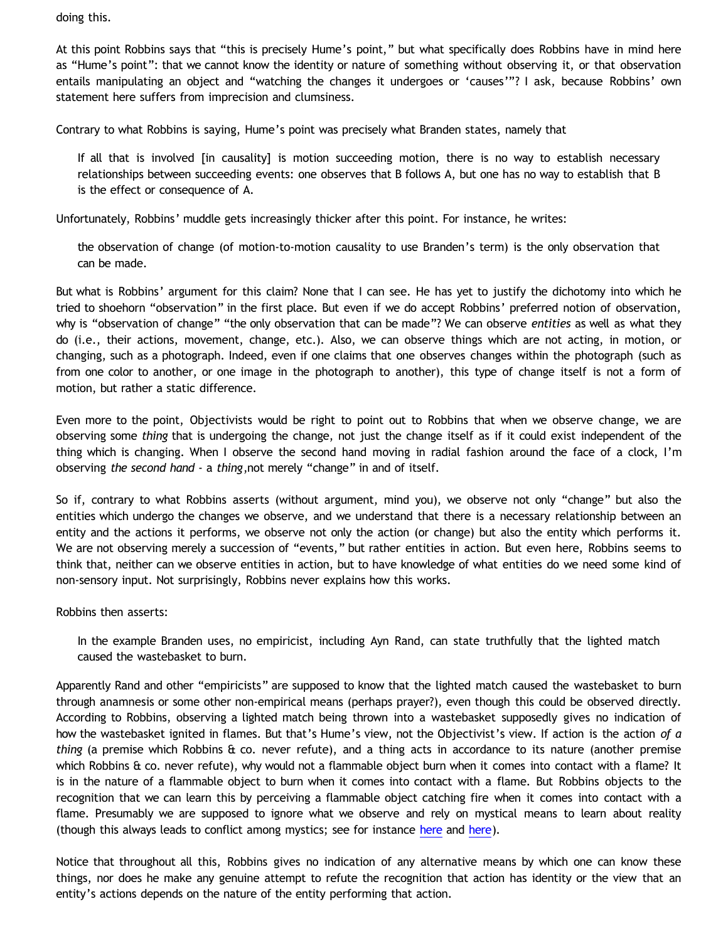doing this.

At this point Robbins says that "this is precisely Hume's point," but what specifically does Robbins have in mind here as "Hume's point": that we cannot know the identity or nature of something without observing it, or that observation entails manipulating an object and "watching the changes it undergoes or 'causes'"? I ask, because Robbins' own statement here suffers from imprecision and clumsiness.

Contrary to what Robbins is saying, Hume's point was precisely what Branden states, namely that

If all that is involved [in causality] is motion succeeding motion, there is no way to establish necessary relationships between succeeding events: one observes that B follows A, but one has no way to establish that B is the effect or consequence of A.

Unfortunately, Robbins' muddle gets increasingly thicker after this point. For instance, he writes:

the observation of change (of motion-to-motion causality to use Branden's term) is the only observation that can be made.

But what is Robbins' argument for this claim? None that I can see. He has yet to justify the dichotomy into which he tried to shoehorn "observation" in the first place. But even if we do accept Robbins' preferred notion of observation, why is "observation of change" "the only observation that can be made"? We can observe *entities* as well as what they do (i.e., their actions, movement, change, etc.). Also, we can observe things which are not acting, in motion, or changing, such as a photograph. Indeed, even if one claims that one observes changes within the photograph (such as from one color to another, or one image in the photograph to another), this type of change itself is not a form of motion, but rather a static difference.

Even more to the point, Objectivists would be right to point out to Robbins that when we observe change, we are observing some *thing* that is undergoing the change, not just the change itself as if it could exist independent of the thing which is changing. When I observe the second hand moving in radial fashion around the face of a clock, I'm observing *the second hand* - a *thing*,not merely "change" in and of itself.

So if, contrary to what Robbins asserts (without argument, mind you), we observe not only "change" but also the entities which undergo the changes we observe, and we understand that there is a necessary relationship between an entity and the actions it performs, we observe not only the action (or change) but also the entity which performs it. We are not observing merely a succession of "events," but rather entities in action. But even here, Robbins seems to think that, neither can we observe entities in action, but to have knowledge of what entities do we need some kind of non-sensory input. Not surprisingly, Robbins never explains how this works.

Robbins then asserts:

In the example Branden uses, no empiricist, including Ayn Rand, can state truthfully that the lighted match caused the wastebasket to burn.

Apparently Rand and other "empiricists" are supposed to know that the lighted match caused the wastebasket to burn through anamnesis or some other non-empirical means (perhaps prayer?), even though this could be observed directly. According to Robbins, observing a lighted match being thrown into a wastebasket supposedly gives no indication of how the wastebasket ignited in flames. But that's Hume's view, not the Objectivist's view. If action is the action *of a thing* (a premise which Robbins & co. never refute), and a thing acts in accordance to its nature (another premise which Robbins & co. never refute), why would not a flammable object burn when it comes into contact with a flame? It is in the nature of a flammable object to burn when it comes into contact with a flame. But Robbins objects to the recognition that we can learn this by perceiving a flammable object catching fire when it comes into contact with a flame. Presumably we are supposed to ignore what we observe and rely on mystical means to learn about reality (though this always leads to conflict among mystics; see for instance [here](http://bahnsenburner.blogspot.com/2009/09/natural-revelation-direct-apprehension.html) and [here](http://bahnsenburner.blogspot.com/2009/08/razorskiss-on-christian-god-as-basis-of_28.html)).

Notice that throughout all this, Robbins gives no indication of any alternative means by which one can know these things, nor does he make any genuine attempt to refute the recognition that action has identity or the view that an entity's actions depends on the nature of the entity performing that action.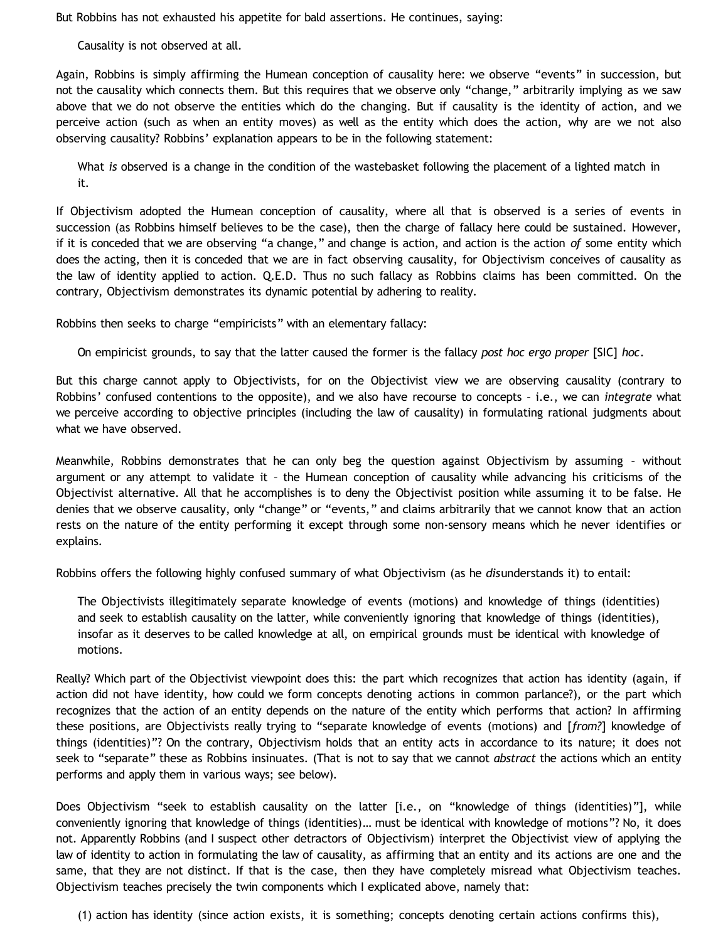But Robbins has not exhausted his appetite for bald assertions. He continues, saying:

Causality is not observed at all.

Again, Robbins is simply affirming the Humean conception of causality here: we observe "events" in succession, but not the causality which connects them. But this requires that we observe only "change," arbitrarily implying as we saw above that we do not observe the entities which do the changing. But if causality is the identity of action, and we perceive action (such as when an entity moves) as well as the entity which does the action, why are we not also observing causality? Robbins' explanation appears to be in the following statement:

What *is* observed is a change in the condition of the wastebasket following the placement of a lighted match in it.

If Objectivism adopted the Humean conception of causality, where all that is observed is a series of events in succession (as Robbins himself believes to be the case), then the charge of fallacy here could be sustained. However, if it is conceded that we are observing "a change," and change is action, and action is the action *of* some entity which does the acting, then it is conceded that we are in fact observing causality, for Objectivism conceives of causality as the law of identity applied to action. Q.E.D. Thus no such fallacy as Robbins claims has been committed. On the contrary, Objectivism demonstrates its dynamic potential by adhering to reality.

Robbins then seeks to charge "empiricists" with an elementary fallacy:

On empiricist grounds, to say that the latter caused the former is the fallacy *post hoc ergo proper* [SIC] *hoc*.

But this charge cannot apply to Objectivists, for on the Objectivist view we are observing causality (contrary to Robbins' confused contentions to the opposite), and we also have recourse to concepts – i.e., we can *integrate* what we perceive according to objective principles (including the law of causality) in formulating rational judgments about what we have observed.

Meanwhile, Robbins demonstrates that he can only beg the question against Objectivism by assuming – without argument or any attempt to validate it – the Humean conception of causality while advancing his criticisms of the Objectivist alternative. All that he accomplishes is to deny the Objectivist position while assuming it to be false. He denies that we observe causality, only "change" or "events," and claims arbitrarily that we cannot know that an action rests on the nature of the entity performing it except through some non-sensory means which he never identifies or explains.

Robbins offers the following highly confused summary of what Objectivism (as he *dis*understands it) to entail:

The Objectivists illegitimately separate knowledge of events (motions) and knowledge of things (identities) and seek to establish causality on the latter, while conveniently ignoring that knowledge of things (identities), insofar as it deserves to be called knowledge at all, on empirical grounds must be identical with knowledge of motions.

Really? Which part of the Objectivist viewpoint does this: the part which recognizes that action has identity (again, if action did not have identity, how could we form concepts denoting actions in common parlance?), or the part which recognizes that the action of an entity depends on the nature of the entity which performs that action? In affirming these positions, are Objectivists really trying to "separate knowledge of events (motions) and [*from?*] knowledge of things (identities)"? On the contrary, Objectivism holds that an entity acts in accordance to its nature; it does not seek to "separate" these as Robbins insinuates. (That is not to say that we cannot *abstract* the actions which an entity performs and apply them in various ways; see below).

Does Objectivism "seek to establish causality on the latter [i.e., on "knowledge of things (identities)"], while conveniently ignoring that knowledge of things (identities)… must be identical with knowledge of motions"? No, it does not. Apparently Robbins (and I suspect other detractors of Objectivism) interpret the Objectivist view of applying the law of identity to action in formulating the law of causality, as affirming that an entity and its actions are one and the same, that they are not distinct. If that is the case, then they have completely misread what Objectivism teaches. Objectivism teaches precisely the twin components which I explicated above, namely that:

(1) action has identity (since action exists, it is something; concepts denoting certain actions confirms this),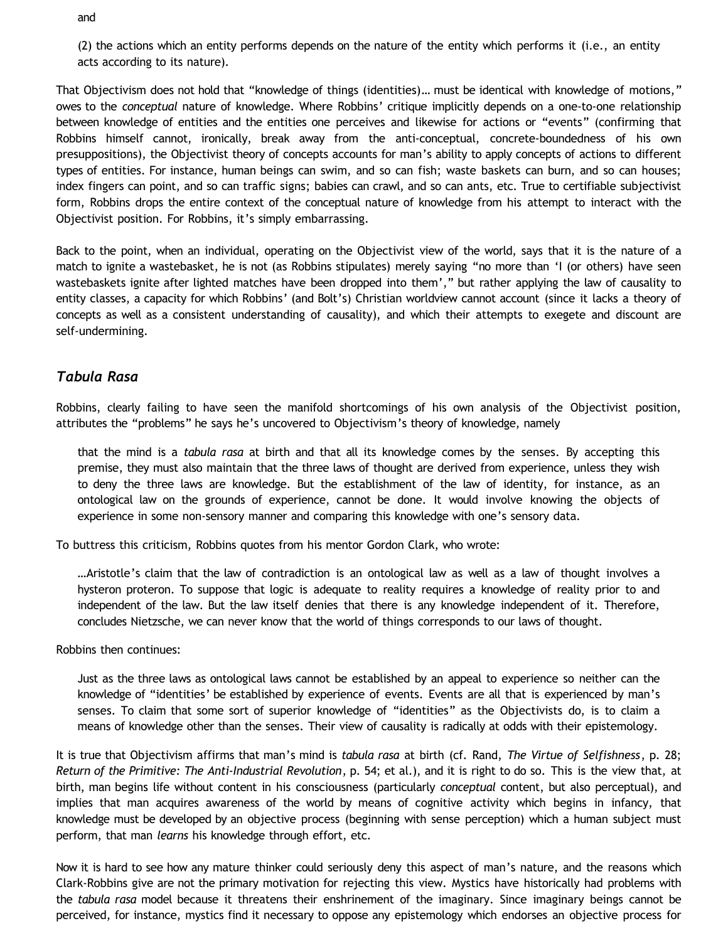and

(2) the actions which an entity performs depends on the nature of the entity which performs it (i.e., an entity acts according to its nature).

That Objectivism does not hold that "knowledge of things (identities)… must be identical with knowledge of motions," owes to the *conceptual* nature of knowledge. Where Robbins' critique implicitly depends on a one-to-one relationship between knowledge of entities and the entities one perceives and likewise for actions or "events" (confirming that Robbins himself cannot, ironically, break away from the anti-conceptual, concrete-boundedness of his own presuppositions), the Objectivist theory of concepts accounts for man's ability to apply concepts of actions to different types of entities. For instance, human beings can swim, and so can fish; waste baskets can burn, and so can houses; index fingers can point, and so can traffic signs; babies can crawl, and so can ants, etc. True to certifiable subjectivist form, Robbins drops the entire context of the conceptual nature of knowledge from his attempt to interact with the Objectivist position. For Robbins, it's simply embarrassing.

Back to the point, when an individual, operating on the Objectivist view of the world, says that it is the nature of a match to ignite a wastebasket, he is not (as Robbins stipulates) merely saying "no more than 'I (or others) have seen wastebaskets ignite after lighted matches have been dropped into them'," but rather applying the law of causality to entity classes, a capacity for which Robbins' (and Bolt's) Christian worldview cannot account (since it lacks a theory of concepts as well as a consistent understanding of causality), and which their attempts to exegete and discount are self-undermining.

### *Tabula Rasa*

Robbins, clearly failing to have seen the manifold shortcomings of his own analysis of the Objectivist position, attributes the "problems" he says he's uncovered to Objectivism's theory of knowledge, namely

that the mind is a *tabula rasa* at birth and that all its knowledge comes by the senses. By accepting this premise, they must also maintain that the three laws of thought are derived from experience, unless they wish to deny the three laws are knowledge. But the establishment of the law of identity, for instance, as an ontological law on the grounds of experience, cannot be done. It would involve knowing the objects of experience in some non-sensory manner and comparing this knowledge with one's sensory data.

To buttress this criticism, Robbins quotes from his mentor Gordon Clark, who wrote:

…Aristotle's claim that the law of contradiction is an ontological law as well as a law of thought involves a hysteron proteron. To suppose that logic is adequate to reality requires a knowledge of reality prior to and independent of the law. But the law itself denies that there is any knowledge independent of it. Therefore, concludes Nietzsche, we can never know that the world of things corresponds to our laws of thought.

Robbins then continues:

Just as the three laws as ontological laws cannot be established by an appeal to experience so neither can the knowledge of "identities' be established by experience of events. Events are all that is experienced by man's senses. To claim that some sort of superior knowledge of "identities" as the Objectivists do, is to claim a means of knowledge other than the senses. Their view of causality is radically at odds with their epistemology.

It is true that Objectivism affirms that man's mind is *tabula rasa* at birth (cf. Rand, *The Virtue of Selfishness*, p. 28; *Return of the Primitive: The Anti-Industrial Revolution*, p. 54; et al.), and it is right to do so. This is the view that, at birth, man begins life without content in his consciousness (particularly *conceptual* content, but also perceptual), and implies that man acquires awareness of the world by means of cognitive activity which begins in infancy, that knowledge must be developed by an objective process (beginning with sense perception) which a human subject must perform, that man *learns* his knowledge through effort, etc.

Now it is hard to see how any mature thinker could seriously deny this aspect of man's nature, and the reasons which Clark-Robbins give are not the primary motivation for rejecting this view. Mystics have historically had problems with the *tabula rasa* model because it threatens their enshrinement of the imaginary. Since imaginary beings cannot be perceived, for instance, mystics find it necessary to oppose any epistemology which endorses an objective process for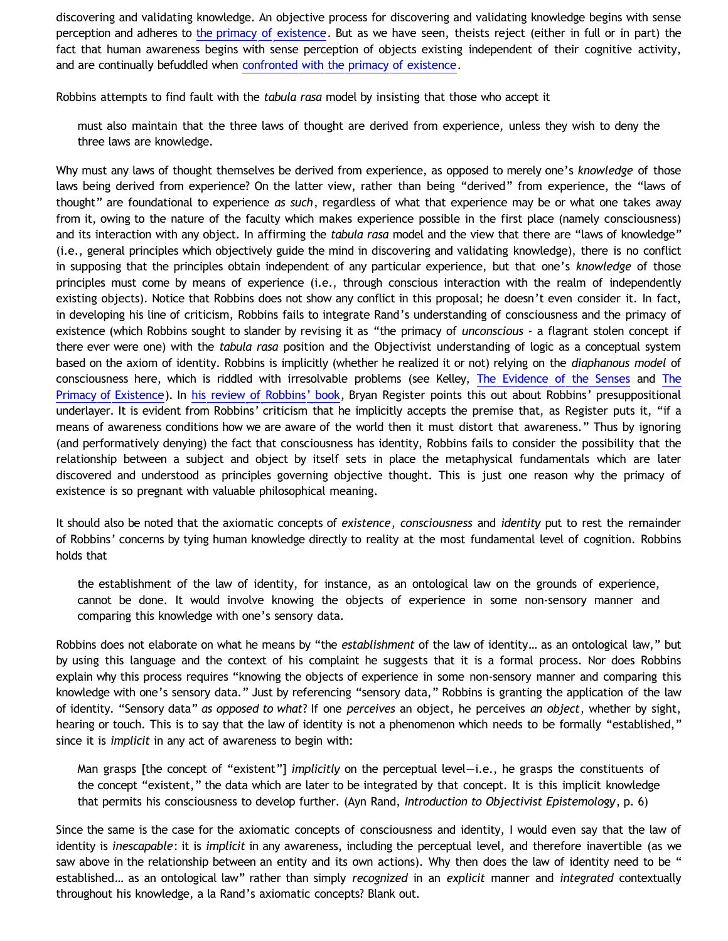discovering and validating knowledge. An objective process for discovering and validating knowledge begins with sense perception and adheres to [the primacy of existence](http://bahnsenburner.blogspot.com/2006/12/axioms-and-primacy-of-existence.html). But as we have seen, theists reject (either in full or in part) the fact that human awareness begins with sense perception of objects existing independent of their cognitive activity, and are continually befuddled when [confronted with the primacy of existence.](http://bahnsenburner.blogspot.com/2010/02/how-theism-violates-primacy-of.html)

Robbins attempts to find fault with the *tabula rasa* model by insisting that those who accept it

must also maintain that the three laws of thought are derived from experience, unless they wish to deny the three laws are knowledge.

Why must any laws of thought themselves be derived from experience, as opposed to merely one's *knowledge* of those laws being derived from experience? On the latter view, rather than being "derived" from experience, the "laws of thought" are foundational to experience *as such*, regardless of what that experience may be or what one takes away from it, owing to the nature of the faculty which makes experience possible in the first place (namely consciousness) and its interaction with any object. In affirming the *tabula rasa* model and the view that there are "laws of knowledge" (i.e., general principles which objectively guide the mind in discovering and validating knowledge), there is no conflict in supposing that the principles obtain independent of any particular experience, but that one's *knowledge* of those principles must come by means of experience (i.e., through conscious interaction with the realm of independently existing objects). Notice that Robbins does not show any conflict in this proposal; he doesn't even consider it. In fact, in developing his line of criticism, Robbins fails to integrate Rand's understanding of consciousness and the primacy of existence (which Robbins sought to slander by revising it as "the primacy of *unconscious* - a flagrant stolen concept if there ever were one) with the *tabula rasa* position and the Objectivist understanding of logic as a conceptual system based on the axiom of identity. Robbins is implicitly (whether he realized it or not) relying on the *diaphanous model* of consciousness here, which is riddled with irresolvable problems (see Kelley, [The Evidence of the Senses](http://www.objectivismstore.com/store/comersus_viewItem.asp?idProduct=74) and [The](http://www.objectivismstore.com/store/comersus_viewItem.asp?idProduct=35) [Primacy of Existence\)](http://www.objectivismstore.com/store/comersus_viewItem.asp?idProduct=35). In [his review of Robbins' book](http://objectivistcenter.org/cth--71-Has_Objectivism_Been_Refuted.aspx), Bryan Register points this out about Robbins' presuppositional underlayer. It is evident from Robbins' criticism that he implicitly accepts the premise that, as Register puts it, "if a means of awareness conditions how we are aware of the world then it must distort that awareness." Thus by ignoring (and performatively denying) the fact that consciousness has identity, Robbins fails to consider the possibility that the relationship between a subject and object by itself sets in place the metaphysical fundamentals which are later discovered and understood as principles governing objective thought. This is just one reason why the primacy of existence is so pregnant with valuable philosophical meaning.

It should also be noted that the axiomatic concepts of *existence*, *consciousness* and *identity* put to rest the remainder of Robbins' concerns by tying human knowledge directly to reality at the most fundamental level of cognition. Robbins holds that

the establishment of the law of identity, for instance, as an ontological law on the grounds of experience, cannot be done. It would involve knowing the objects of experience in some non-sensory manner and comparing this knowledge with one's sensory data.

Robbins does not elaborate on what he means by "the *establishment* of the law of identity… as an ontological law," but by using this language and the context of his complaint he suggests that it is a formal process. Nor does Robbins explain why this process requires "knowing the objects of experience in some non-sensory manner and comparing this knowledge with one's sensory data." Just by referencing "sensory data," Robbins is granting the application of the law of identity. "Sensory data" *as opposed to what*? If one *perceives* an object, he perceives *an object*, whether by sight, hearing or touch. This is to say that the law of identity is not a phenomenon which needs to be formally "established," since it is *implicit* in any act of awareness to begin with:

Man grasps [the concept of "existent"] *implicitly* on the perceptual level—i.e., he grasps the constituents of the concept "existent," the data which are later to be integrated by that concept. It is this implicit knowledge that permits his consciousness to develop further. (Ayn Rand, *Introduction to Objectivist Epistemology*, p. 6)

Since the same is the case for the axiomatic concepts of consciousness and identity, I would even say that the law of identity is *inescapable*: it is *implicit* in any awareness, including the perceptual level, and therefore inavertible (as we saw above in the relationship between an entity and its own actions). Why then does the law of identity need to be " established… as an ontological law" rather than simply *recognized* in an *explicit* manner and *integrated* contextually throughout his knowledge, a la Rand's axiomatic concepts? Blank out.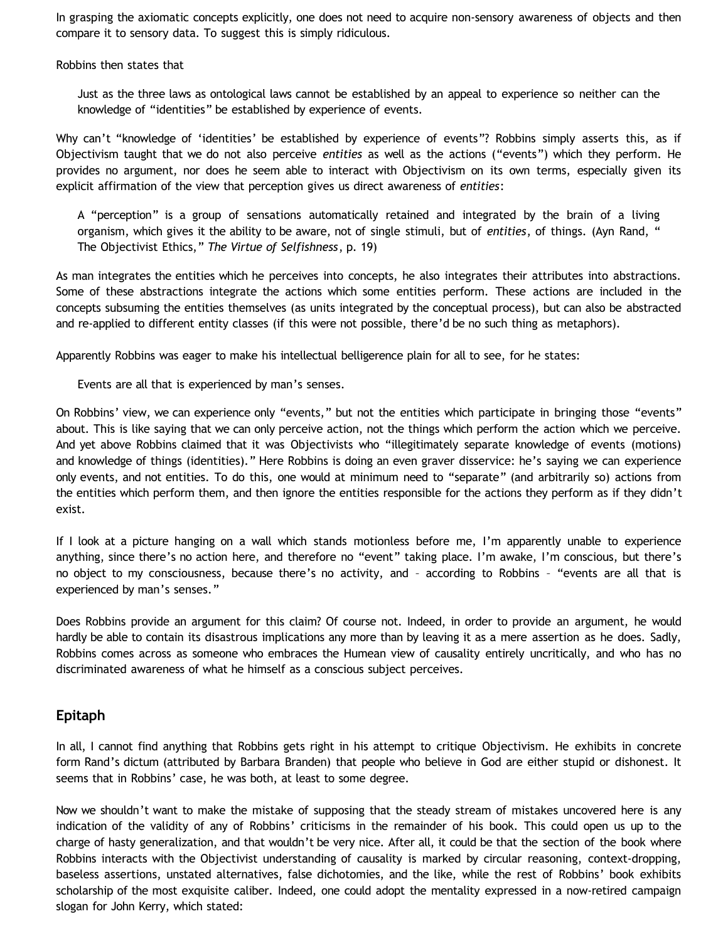In grasping the axiomatic concepts explicitly, one does not need to acquire non-sensory awareness of objects and then compare it to sensory data. To suggest this is simply ridiculous.

Robbins then states that

Just as the three laws as ontological laws cannot be established by an appeal to experience so neither can the knowledge of "identities" be established by experience of events.

Why can't "knowledge of 'identities' be established by experience of events"? Robbins simply asserts this, as if Objectivism taught that we do not also perceive *entities* as well as the actions ("events") which they perform. He provides no argument, nor does he seem able to interact with Objectivism on its own terms, especially given its explicit affirmation of the view that perception gives us direct awareness of *entities*:

A "perception" is a group of sensations automatically retained and integrated by the brain of a living organism, which gives it the ability to be aware, not of single stimuli, but of *entities*, of things. (Ayn Rand, " The Objectivist Ethics," *The Virtue of Selfishness*, p. 19)

As man integrates the entities which he perceives into concepts, he also integrates their attributes into abstractions. Some of these abstractions integrate the actions which some entities perform. These actions are included in the concepts subsuming the entities themselves (as units integrated by the conceptual process), but can also be abstracted and re-applied to different entity classes (if this were not possible, there'd be no such thing as metaphors).

Apparently Robbins was eager to make his intellectual belligerence plain for all to see, for he states:

Events are all that is experienced by man's senses.

On Robbins' view, we can experience only "events," but not the entities which participate in bringing those "events" about. This is like saying that we can only perceive action, not the things which perform the action which we perceive. And yet above Robbins claimed that it was Objectivists who "illegitimately separate knowledge of events (motions) and knowledge of things (identities)." Here Robbins is doing an even graver disservice: he's saying we can experience only events, and not entities. To do this, one would at minimum need to "separate" (and arbitrarily so) actions from the entities which perform them, and then ignore the entities responsible for the actions they perform as if they didn't exist.

If I look at a picture hanging on a wall which stands motionless before me, I'm apparently unable to experience anything, since there's no action here, and therefore no "event" taking place. I'm awake, I'm conscious, but there's no object to my consciousness, because there's no activity, and – according to Robbins – "events are all that is experienced by man's senses."

Does Robbins provide an argument for this claim? Of course not. Indeed, in order to provide an argument, he would hardly be able to contain its disastrous implications any more than by leaving it as a mere assertion as he does. Sadly, Robbins comes across as someone who embraces the Humean view of causality entirely uncritically, and who has no discriminated awareness of what he himself as a conscious subject perceives.

# **Epitaph**

In all, I cannot find anything that Robbins gets right in his attempt to critique Objectivism. He exhibits in concrete form Rand's dictum (attributed by Barbara Branden) that people who believe in God are either stupid or dishonest. It seems that in Robbins' case, he was both, at least to some degree.

Now we shouldn't want to make the mistake of supposing that the steady stream of mistakes uncovered here is any indication of the validity of any of Robbins' criticisms in the remainder of his book. This could open us up to the charge of hasty generalization, and that wouldn't be very nice. After all, it could be that the section of the book where Robbins interacts with the Objectivist understanding of causality is marked by circular reasoning, context-dropping, baseless assertions, unstated alternatives, false dichotomies, and the like, while the rest of Robbins' book exhibits scholarship of the most exquisite caliber. Indeed, one could adopt the mentality expressed in a now-retired campaign slogan for John Kerry, which stated: